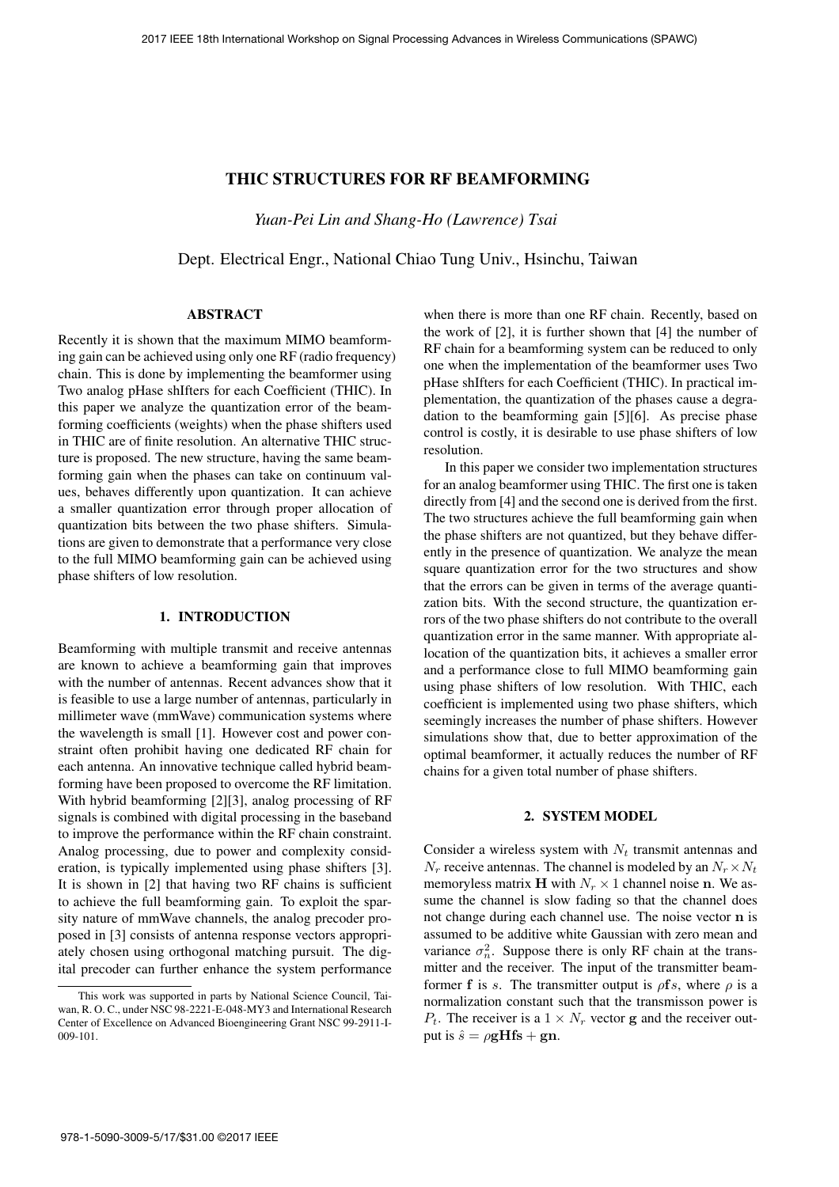# THIC STRUCTURES FOR RF BEAMFORMING

*Yuan-Pei Lin and Shang-Ho (Lawrence) Tsai*

Dept. Electrical Engr., National Chiao Tung Univ., Hsinchu, Taiwan

# ABSTRACT

Recently it is shown that the maximum MIMO beamforming gain can be achieved using only one RF (radio frequency) chain. This is done by implementing the beamformer using Two analog pHase shIfters for each Coefficient (THIC). In this paper we analyze the quantization error of the beamforming coefficients (weights) when the phase shifters used in THIC are of finite resolution. An alternative THIC structure is proposed. The new structure, having the same beamforming gain when the phases can take on continuum values, behaves differently upon quantization. It can achieve a smaller quantization error through proper allocation of quantization bits between the two phase shifters. Simulations are given to demonstrate that a performance very close to the full MIMO beamforming gain can be achieved using phase shifters of low resolution.

### 1. INTRODUCTION

Beamforming with multiple transmit and receive antennas are known to achieve a beamforming gain that improves with the number of antennas. Recent advances show that it is feasible to use a large number of antennas, particularly in millimeter wave (mmWave) communication systems where the wavelength is small [1]. However cost and power constraint often prohibit having one dedicated RF chain for each antenna. An innovative technique called hybrid beamforming have been proposed to overcome the RF limitation. With hybrid beamforming [2][3], analog processing of RF signals is combined with digital processing in the baseband to improve the performance within the RF chain constraint. Analog processing, due to power and complexity consideration, is typically implemented using phase shifters [3]. It is shown in [2] that having two RF chains is sufficient to achieve the full beamforming gain. To exploit the sparsity nature of mmWave channels, the analog precoder proposed in [3] consists of antenna response vectors appropriately chosen using orthogonal matching pursuit. The digital precoder can further enhance the system performance

when there is more than one RF chain. Recently, based on the work of [2], it is further shown that [4] the number of RF chain for a beamforming system can be reduced to only one when the implementation of the beamformer uses Two pHase shIfters for each Coefficient (THIC). In practical implementation, the quantization of the phases cause a degradation to the beamforming gain [5][6]. As precise phase control is costly, it is desirable to use phase shifters of low resolution.

In this paper we consider two implementation structures for an analog beamformer using THIC. The first one is taken directly from [4] and the second one is derived from the first. The two structures achieve the full beamforming gain when the phase shifters are not quantized, but they behave differently in the presence of quantization. We analyze the mean square quantization error for the two structures and show that the errors can be given in terms of the average quantization bits. With the second structure, the quantization errors of the two phase shifters do not contribute to the overall quantization error in the same manner. With appropriate allocation of the quantization bits, it achieves a smaller error and a performance close to full MIMO beamforming gain using phase shifters of low resolution. With THIC, each coefficient is implemented using two phase shifters, which seemingly increases the number of phase shifters. However simulations show that, due to better approximation of the optimal beamformer, it actually reduces the number of RF chains for a given total number of phase shifters.

### 2. SYSTEM MODEL

Consider a wireless system with  $N_t$  transmit antennas and  $N_r$  receive antennas. The channel is modeled by an  $N_r \times N_t$ memoryless matrix **H** with  $N_r \times 1$  channel noise **n**. We assume the channel is slow fading so that the channel does not change during each channel use. The noise vector **n** is assumed to be additive white Gaussian with zero mean and variance  $\sigma_n^2$ . Suppose there is only RF chain at the transmitter and the receiver. The input of the transmitter beamformer **f** is s. The transmitter output is  $\rho$ **f**s, where  $\rho$  is a normalization constant such that the transmisson power is  $P_t$ . The receiver is a  $1 \times N_r$  vector **g** and the receiver output is  $\hat{s} = \rho g Hfs + gn$ .

This work was supported in parts by National Science Council, Taiwan, R. O. C., under NSC 98-2221-E-048-MY3 and International Research Center of Excellence on Advanced Bioengineering Grant NSC 99-2911-I-009-101.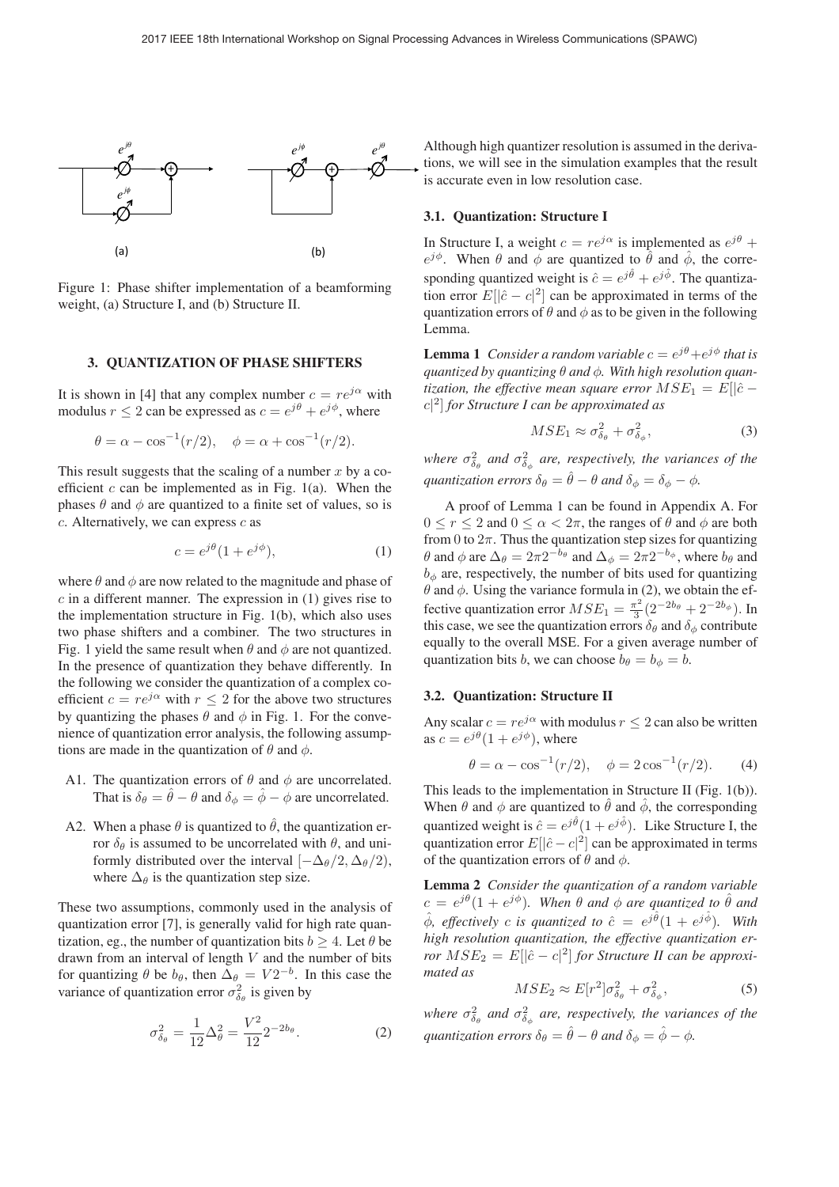

Figure 1: Phase shifter implementation of a beamforming weight, (a) Structure I, and (b) Structure II.

#### 3. QUANTIZATION OF PHASE SHIFTERS

It is shown in [4] that any complex number  $c = re^{j\alpha}$  with modulus  $r < 2$  can be expressed as  $c = e^{j\theta} + e^{j\phi}$ , where

$$
\theta = \alpha - \cos^{-1}(r/2), \quad \phi = \alpha + \cos^{-1}(r/2).
$$

This result suggests that the scaling of a number  $x$  by a coefficient  $c$  can be implemented as in Fig. 1(a). When the phases  $\theta$  and  $\phi$  are quantized to a finite set of values, so is  $c$ . Alternatively, we can express  $c$  as

$$
c = e^{j\theta} (1 + e^{j\phi}), \tag{1}
$$

where  $\theta$  and  $\phi$  are now related to the magnitude and phase of  $c$  in a different manner. The expression in (1) gives rise to the implementation structure in Fig. 1(b), which also uses two phase shifters and a combiner. The two structures in Fig. 1 yield the same result when  $\theta$  and  $\phi$  are not quantized. In the presence of quantization they behave differently. In the following we consider the quantization of a complex coefficient  $c = re^{j\alpha}$  with  $r \leq 2$  for the above two structures by quantizing the phases  $\theta$  and  $\phi$  in Fig. 1. For the convenience of quantization error analysis, the following assumptions are made in the quantization of  $\theta$  and  $\phi$ .

- A1. The quantization errors of  $\theta$  and  $\phi$  are uncorrelated. That is  $\delta_{\theta} = \hat{\theta} - \theta$  and  $\delta_{\phi} = \hat{\phi} - \phi$  are uncorrelated.
- A2. When a phase  $\theta$  is quantized to  $\hat{\theta}$ , the quantization error  $δθ$  is assumed to be uncorrelated with  $θ$ , and uniformly distributed over the interval  $[-\Delta_{\theta}/2, \Delta_{\theta}/2]$ , where  $\Delta_{\theta}$  is the quantization step size.

These two assumptions, commonly used in the analysis of quantization error [7], is generally valid for high rate quantization, eg., the number of quantization bits  $b \geq 4$ . Let  $\theta$  be drawn from an interval of length  $V$  and the number of bits for quantizing  $\theta$  be  $b_{\theta}$ , then  $\Delta_{\theta} = V 2^{-b}$ . In this case the variance of quantization error  $\sigma_{\delta_{\theta}}^2$  is given by

$$
\sigma_{\delta_{\theta}}^2 = \frac{1}{12} \Delta_{\theta}^2 = \frac{V^2}{12} 2^{-2b_{\theta}}.
$$
 (2)

Although high quantizer resolution is assumed in the derivations, we will see in the simulation examples that the result is accurate even in low resolution case.

#### 3.1. Quantization: Structure I

In Structure I, a weight  $c = re^{j\alpha}$  is implemented as  $e^{j\theta}$  +  $e^{j\phi}$ . When  $\theta$  and  $\dot{\phi}$  are quantized to  $\hat{\theta}$  and  $\hat{\phi}$ , the corresponding quantized weight is  $\hat{c} = e^{j\hat{\theta}} + e^{j\hat{\phi}}$ . The quantization error  $E[\hat{c} - c]^2$  can be approximated in terms of the tion error  $E[|\hat{c} - c|^2]$  can be approximated in terms of the quantization errors of  $\theta$  and  $\phi$  as to be given in the following quantization errors of  $\theta$  and  $\phi$  as to be given in the following Lemma.

**Lemma 1** *Consider a random variable*  $c = e^{j\theta} + e^{j\phi}$  *that is quantized by quantizing* θ *and* φ*. With high resolution quantization, the effective mean square error*  $MSE_1 = E[|\hat{c}$ c| 2] *for Structure I can be approximated as*

$$
MSE_1 \approx \sigma_{\delta_{\theta}}^2 + \sigma_{\delta_{\phi}}^2,\tag{3}
$$

where  $\sigma_{\delta_{\theta}}^2$  and  $\sigma_{\delta_{\phi}}^2$  are, respectively, the variances of the *quantization errors*  $\delta_{\theta} = \hat{\theta} - \theta$  *and*  $\delta_{\phi} = \delta_{\phi} - \phi$ *.* 

A proof of Lemma 1 can be found in Appendix A. For  $0 \le r \le 2$  and  $0 \le \alpha < 2\pi$ , the ranges of  $\theta$  and  $\phi$  are both from 0 to  $2\pi$ . Thus the quantization step sizes for quantizing θ and φ are  $\Delta_{\theta} = 2\pi 2^{-b_{\theta}}$  and  $\Delta_{\phi} = 2\pi 2^{-b_{\phi}}$ , where  $b_{\theta}$  and  $b_{\phi}$  are, respectively, the number of bits used for quantizing  $\theta$  and  $\phi$ . Using the variance formula in (2), we obtain the effective quantization error  $MSE_1 = \frac{\pi^2}{3} (2^{-2b_\theta} + 2^{-2b_\phi})$ . In this case, we see the quantization errors  $\delta_2$  and  $\delta_4$  contribute this case, we see the quantization errors  $\delta_{\theta}$  and  $\delta_{\phi}$  contribute equally to the overall MSE. For a given average number of quantization bits b, we can choose  $b_{\theta} = b_{\phi} = b$ .

### 3.2. Quantization: Structure II

Any scalar  $c = re^{j\alpha}$  with modulus  $r \leq 2$  can also be written as  $c = e^{j\theta}(1 + e^{j\phi})$ , where

$$
\theta = \alpha - \cos^{-1}(r/2), \quad \phi = 2\cos^{-1}(r/2).
$$
 (4)

This leads to the implementation in Structure II (Fig. 1(b)). When  $\theta$  and  $\phi$  are quantized to  $\hat{\theta}$  and  $\hat{\phi}$ , the corresponding quantized weight is  $\hat{c} = e^{j\hat{\theta}}(1 + e^{j\hat{\phi}})$ . Like Structure I, the quantization error  $E[\hat{c} - c]^2$  can be approximated in terms quantization error  $E[|\hat{c} - c|^2]$  can be approximated in terms of the quantization errors of  $\theta$  and  $\phi$ of the quantization errors of  $\theta$  and  $\phi$ .

Lemma 2 *Consider the quantization of a random variable*  $c = e^{j\theta}(1 + e^{j\phi})$ . When  $\theta$  and  $\phi$  are quantized to  $\hat{\theta}$  and  $\hat{\phi}$ , effectively c is quantized to  $\hat{c} = e^{j\hat{\theta}}(1 + e^{j\hat{\phi}})$ . With *high resolution quantization, the effective quantization error*  $MSE_2 = E[|\hat{c} - c|^2]$  *for Structure II can be approximated as mated as*

$$
MSE_2 \approx E[r^2]\sigma_{\delta_{\theta}}^2 + \sigma_{\delta_{\phi}}^2,\tag{5}
$$

where  $\sigma_{\delta_{\theta}}^2$  and  $\sigma_{\delta_{\phi}}^2$  are, respectively, the variances of the *quantization errors*  $\delta_{\theta} = \hat{\theta} - \theta$  *and*  $\delta_{\phi} = \hat{\phi} - \phi$ *.*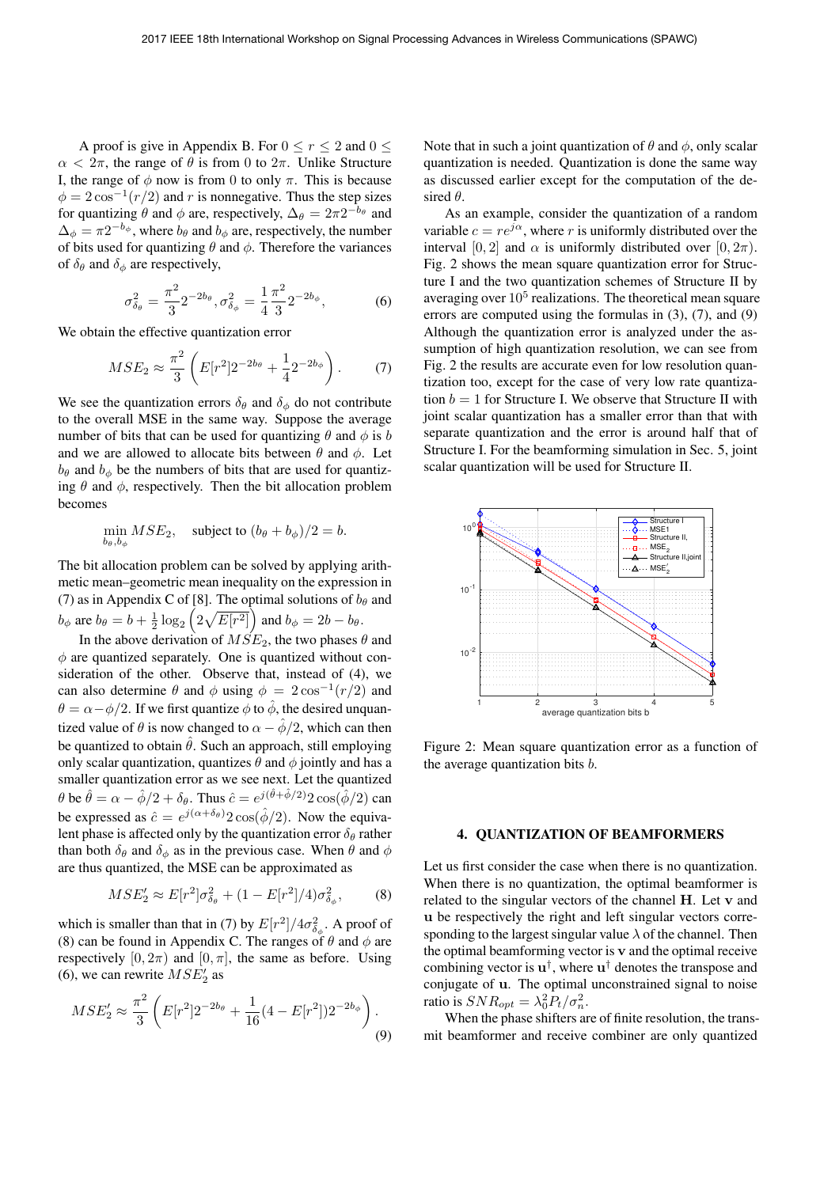A proof is give in Appendix B. For  $0 \le r \le 2$  and  $0 \le$  $\alpha < 2\pi$ , the range of  $\theta$  is from 0 to  $2\pi$ . Unlike Structure I, the range of  $\phi$  now is from 0 to only  $\pi$ . This is because  $\phi = 2 \cos^{-1}(r/2)$  and r is nonnegative. Thus the step sizes for quantizing  $\theta$  and  $\phi$  are, respectively,  $\Delta_{\theta} = 2\pi 2^{-b_{\theta}}$  and  $\Delta_{\phi} = \pi 2^{-b_{\phi}}$ , where  $b_{\theta}$  and  $b_{\phi}$  are, respectively, the number of bits used for quantizing  $\theta$  and  $\phi$ . Therefore the variances of  $\delta_{\theta}$  and  $\delta_{\phi}$  are respectively,

$$
\sigma_{\delta_{\theta}}^2 = \frac{\pi^2}{3} 2^{-2b_{\theta}}, \sigma_{\delta_{\phi}}^2 = \frac{1}{4} \frac{\pi^2}{3} 2^{-2b_{\phi}},
$$
 (6)

We obtain the effective quantization error

$$
MSE_2 \approx \frac{\pi^2}{3} \left( E[r^2] 2^{-2b_\theta} + \frac{1}{4} 2^{-2b_\phi} \right). \tag{7}
$$

We see the quantization errors  $\delta_{\theta}$  and  $\delta_{\phi}$  do not contribute to the overall MSE in the same way. Suppose the average number of bits that can be used for quantizing  $\theta$  and  $\phi$  is b and we are allowed to allocate bits between  $\theta$  and  $\phi$ . Let  $b_{\theta}$  and  $b_{\phi}$  be the numbers of bits that are used for quantizing  $\theta$  and  $\phi$ , respectively. Then the bit allocation problem becomes

$$
\min_{b_{\theta}, b_{\phi}} MSE_2, \quad \text{subject to } (b_{\theta} + b_{\phi})/2 = b.
$$

The bit allocation problem can be solved by applying arithmetic mean–geometric mean inequality on the expression in (7) as in Appendix C of [8]. The optimal solutions of  $b_{\theta}$  and  $b_{\phi}$  are  $b_{\theta} = b + \frac{1}{2} \log_2$  $(2\sqrt{E[r^2]})$  and  $b_{\phi} = 2b - b_{\theta}$ .

In the above derivation of  $MSE_2$ , the two phases  $\theta$  and  $\phi$  are quantized separately. One is quantized without consideration of the other. Observe that, instead of (4), we can also determine  $\theta$  and  $\phi$  using  $\phi = 2 \cos^{-1}(r/2)$  and  $\theta = \alpha - \phi/2$ . If we first quantize  $\phi$  to  $\hat{\phi}$ , the desired unquantized value of  $\theta$  is now changed to  $\alpha - \phi/2$ , which can then be quantized to obtain  $\hat{\theta}$ . Such an approach, still employing only scalar quantization, quantizes  $\theta$  and  $\phi$  jointly and has a smaller quantization error as we see next. Let the quantized  $\theta$  be  $\hat{\theta} = \alpha - \hat{\phi}/2 + \delta_{\theta}$ . Thus  $\hat{c} = e^{j(\hat{\theta} + \hat{\phi}/2)} 2 \cos(\hat{\phi}/2)$  can be expressed as  $\hat{\phi} = e^{j(\alpha + \hat{\phi}/2)} 2 \cos(\hat{\phi}/2)$ . Now the equiva be expressed as  $\hat{c} = e^{j(\alpha + \delta_{\theta})} 2 \cos(\hat{\phi}/2)$ . Now the equiva-<br>lent phase is affected only by the quantization error  $\delta_{\theta}$  rather lent phase is affected only by the quantization error  $\delta_{\theta}$  rather than both  $\delta_{\theta}$  and  $\delta_{\phi}$  as in the previous case. When  $\theta$  and  $\phi$ are thus quantized, the MSE can be approximated as

$$
MSE_2' \approx E[r^2]\sigma_{\delta_{\theta}}^2 + (1 - E[r^2]/4)\sigma_{\delta_{\phi}}^2, \qquad (8)
$$

which is smaller than that in (7) by  $E[r^2]/4\sigma_{\delta_{\phi}}^2$ . A proof of (8) can be found in Appendix C. The ranges of  $\theta$  and  $\phi$  are (8) can be found in Appendix C. The ranges of  $\theta$  and  $\phi$  are respectively  $[0, 2\pi)$  and  $[0, \pi]$ , the same as before. Using (6), we can rewrite  $MSE_2'$  as

$$
MSE_2' \approx \frac{\pi^2}{3} \left( E[r^2] 2^{-2b_\theta} + \frac{1}{16} (4 - E[r^2]) 2^{-2b_\phi} \right). \tag{9}
$$

Note that in such a joint quantization of  $\theta$  and  $\phi$ , only scalar quantization is needed. Quantization is done the same way as discussed earlier except for the computation of the desired  $\theta$ .

As an example, consider the quantization of a random variable  $c = re^{j\alpha}$ , where r is uniformly distributed over the interval [0, 2] and  $\alpha$  is uniformly distributed over [0,  $2\pi$ ). Fig. 2 shows the mean square quantization error for Structure I and the two quantization schemes of Structure II by averaging over  $10^5$  realizations. The theoretical mean square errors are computed using the formulas in (3), (7), and (9) Although the quantization error is analyzed under the assumption of high quantization resolution, we can see from Fig. 2 the results are accurate even for low resolution quantization too, except for the case of very low rate quantization  $b = 1$  for Structure I. We observe that Structure II with joint scalar quantization has a smaller error than that with separate quantization and the error is around half that of Structure I. For the beamforming simulation in Sec. 5, joint scalar quantization will be used for Structure II.



Figure 2: Mean square quantization error as a function of the average quantization bits  $b$ .

#### 4. QUANTIZATION OF BEAMFORMERS

Let us first consider the case when there is no quantization. When there is no quantization, the optimal beamformer is related to the singular vectors of the channel **H**. Let **v** and **u** be respectively the right and left singular vectors corresponding to the largest singular value  $\lambda$  of the channel. Then the optimal beamforming vector is **v** and the optimal receive combining vector is  $\mathbf{u}^{\dagger}$ , where  $\mathbf{u}^{\dagger}$  denotes the transpose and conjugate of **u**. The optimal unconstrained signal to noise ratio is  $SNR_{opt} = \lambda_0^2 \hat{P}_t / \sigma_n^2$ .<br>When the phase shifters at

When the phase shifters are of finite resolution, the transmit beamformer and receive combiner are only quantized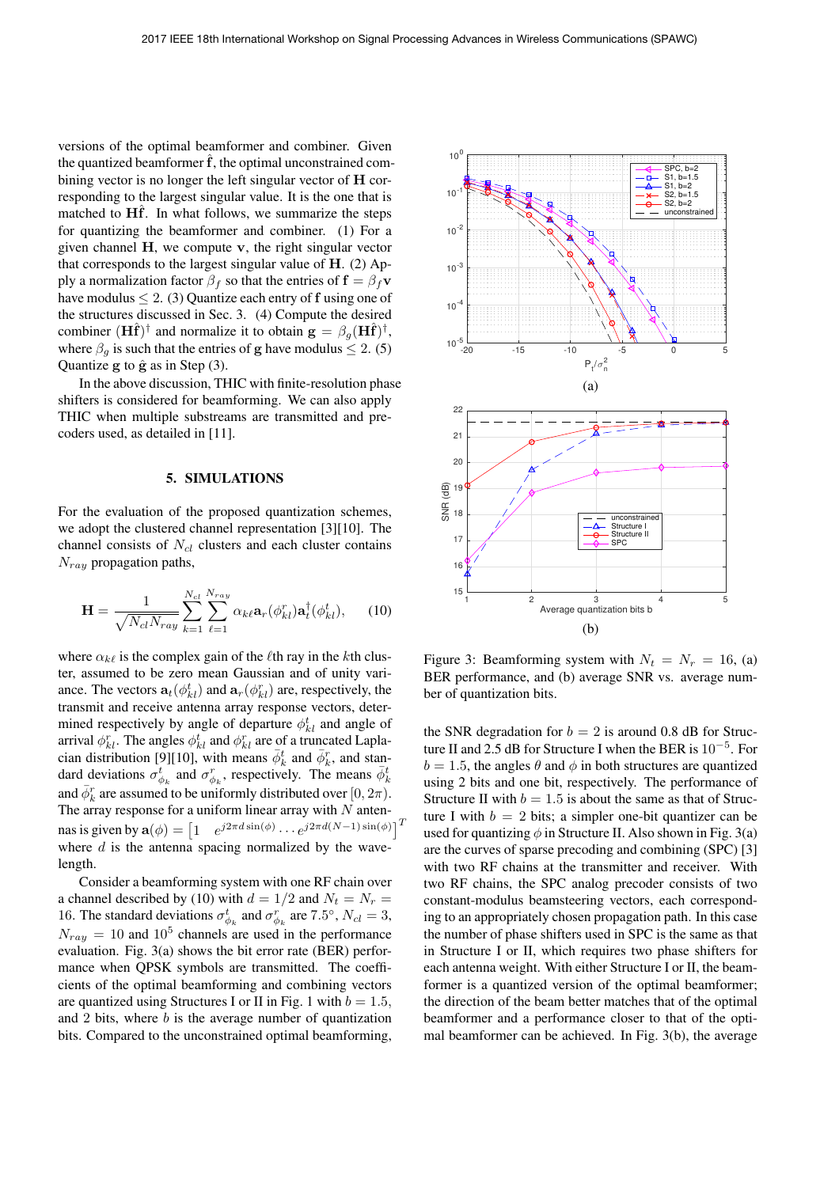versions of the optimal beamformer and combiner. Given the quantized beamformer  $\hat{f}$ , the optimal unconstrained combining vector is no longer the left singular vector of **H** corresponding to the largest singular value. It is the one that is matched to **Hf**. In what follows, we summarize the steps for quantizing the beamformer and combiner. (1) For a given channel **H**, we compute **v**, the right singular vector that corresponds to the largest singular value of **H**. (2) Apply a normalization factor  $\beta_f$  so that the entries of  $\mathbf{f} = \beta_f \mathbf{v}$ have modulus  $\leq 2$ . (3) Quantize each entry of f using one of the structures discussed in Sec. 3. (4) Compute the desired combiner  $(\mathbf{H}\hat{\mathbf{f}})^{\dagger}$  and normalize it to obtain  $\mathbf{g} = \beta_a (\mathbf{H}\hat{\mathbf{f}})^{\dagger}$ , where  $\beta_g$  is such that the entries of **g** have modulus  $\leq 2$ . (5) Quantize  $g$  to  $\hat{g}$  as in Step  $(3)$ .

In the above discussion, THIC with finite-resolution phase shifters is considered for beamforming. We can also apply THIC when multiple substreams are transmitted and precoders used, as detailed in [11].

#### 5. SIMULATIONS

For the evaluation of the proposed quantization schemes, we adopt the clustered channel representation [3][10]. The channel consists of  $N_{cl}$  clusters and each cluster contains  $N_{ray}$  propagation paths,

$$
\mathbf{H} = \frac{1}{\sqrt{N_{cl}N_{ray}}} \sum_{k=1}^{N_{cl}} \sum_{\ell=1}^{N_{ray}} \alpha_{k\ell} \mathbf{a}_r(\phi_{kl}^r) \mathbf{a}_t^\dagger(\phi_{kl}^t), \qquad (10)
$$

where  $\alpha_{k\ell}$  is the complex gain of the  $\ell$ th ray in the kth cluster, assumed to be zero mean Gaussian and of unity variance. The vectors  $\mathbf{a}_t(\phi_{kl}^t)$  and  $\mathbf{a}_r(\phi_{kl}^r)$  are, respectively, the transmit and receive antenna array response vectors, detertransmit and receive antenna array response vectors, determined respectively by angle of departure  $\phi_{kl}^t$  and angle of arrival  $\phi_{kl}^r$ . The angles  $\phi_{kl}^t$  and  $\phi_{kl}^r$  are of a truncated Laplacian distribution [9][10], with means  $\bar{\phi}_k^t$  and  $\bar{\phi}_k^r$ , and standard deviations  $\sigma_{\phi_k}^t$  and  $\sigma_{\phi_k}^r$ , respectively. The means  $\bar{\phi}_k^t$ and  $\bar{\phi}_k^r$  are assumed to be uniformly distributed over  $[0, 2\pi)$ .<br>The array response for a uniform linear array with M anten-The array response for a uniform linear array with  $N$  antennas is given by  $\mathbf{a}(\phi) = \begin{bmatrix} 1 & e^{j2\pi d \sin(\phi)} \cdots e^{j2\pi d (N-1) \sin(\phi)} \end{bmatrix}^T$ <br>where *d* is the antenna spacing normalized by the wavewhere  $d$  is the antenna spacing normalized by the wavelength.

Consider a beamforming system with one RF chain over a channel described by (10) with  $d = 1/2$  and  $N_t = N_r$ 16. The standard deviations  $\sigma_{\phi_k}^t$  and  $\sigma_{\phi_k}^r$  are 7.5°,  $N_{cl} = 3$ ,  $N_{cl} = 10$  and 10<sup>5</sup> apparels are used in the performance  $N_{raw} = 10$  and  $10^5$  channels are used in the performance evaluation. Fig. 3(a) shows the bit error rate (BER) performance when QPSK symbols are transmitted. The coefficients of the optimal beamforming and combining vectors are quantized using Structures I or II in Fig. 1 with  $b = 1.5$ , and 2 bits, where  $b$  is the average number of quantization bits. Compared to the unconstrained optimal beamforming,



Figure 3: Beamforming system with  $N_t = N_r = 16$ , (a) BER performance, and (b) average SNR vs. average number of quantization bits.

the SNR degradation for  $b = 2$  is around 0.8 dB for Structure II and 2.5 dB for Structure I when the BER is <sup>10</sup><sup>−</sup><sup>5</sup>. For  $b = 1.5$ , the angles  $\theta$  and  $\phi$  in both structures are quantized using 2 bits and one bit, respectively. The performance of Structure II with  $b = 1.5$  is about the same as that of Structure I with  $b = 2$  bits; a simpler one-bit quantizer can be used for quantizing  $\phi$  in Structure II. Also shown in Fig. 3(a) are the curves of sparse precoding and combining (SPC) [3] with two RF chains at the transmitter and receiver. With two RF chains, the SPC analog precoder consists of two constant-modulus beamsteering vectors, each corresponding to an appropriately chosen propagation path. In this case the number of phase shifters used in SPC is the same as that in Structure I or II, which requires two phase shifters for each antenna weight. With either Structure I or II, the beamformer is a quantized version of the optimal beamformer; the direction of the beam better matches that of the optimal beamformer and a performance closer to that of the optimal beamformer can be achieved. In Fig. 3(b), the average